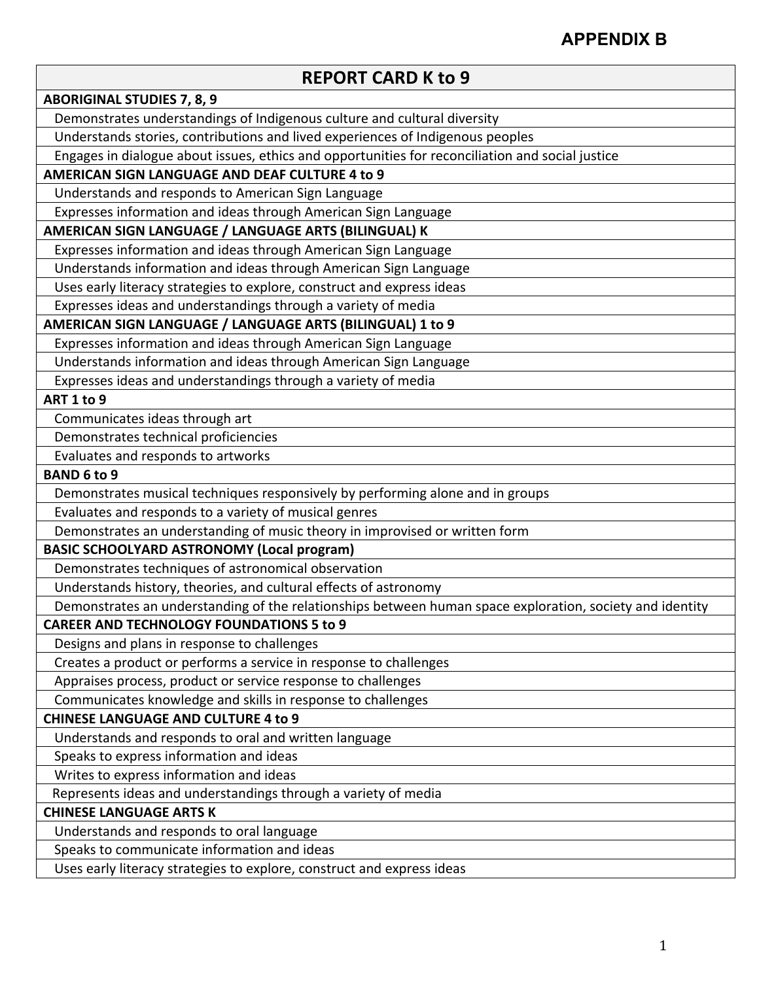## **APPENDIX B**

| <b>REPORT CARD K to 9</b>                                                                                |
|----------------------------------------------------------------------------------------------------------|
| <b>ABORIGINAL STUDIES 7, 8, 9</b>                                                                        |
| Demonstrates understandings of Indigenous culture and cultural diversity                                 |
| Understands stories, contributions and lived experiences of Indigenous peoples                           |
| Engages in dialogue about issues, ethics and opportunities for reconciliation and social justice         |
| AMERICAN SIGN LANGUAGE AND DEAF CULTURE 4 to 9                                                           |
| Understands and responds to American Sign Language                                                       |
| Expresses information and ideas through American Sign Language                                           |
| AMERICAN SIGN LANGUAGE / LANGUAGE ARTS (BILINGUAL) K                                                     |
| Expresses information and ideas through American Sign Language                                           |
| Understands information and ideas through American Sign Language                                         |
| Uses early literacy strategies to explore, construct and express ideas                                   |
| Expresses ideas and understandings through a variety of media                                            |
| AMERICAN SIGN LANGUAGE / LANGUAGE ARTS (BILINGUAL) 1 to 9                                                |
| Expresses information and ideas through American Sign Language                                           |
| Understands information and ideas through American Sign Language                                         |
| Expresses ideas and understandings through a variety of media                                            |
| ART 1 to 9                                                                                               |
| Communicates ideas through art                                                                           |
| Demonstrates technical proficiencies                                                                     |
| Evaluates and responds to artworks                                                                       |
| <b>BAND 6 to 9</b>                                                                                       |
| Demonstrates musical techniques responsively by performing alone and in groups                           |
| Evaluates and responds to a variety of musical genres                                                    |
| Demonstrates an understanding of music theory in improvised or written form                              |
| <b>BASIC SCHOOLYARD ASTRONOMY (Local program)</b>                                                        |
| Demonstrates techniques of astronomical observation                                                      |
| Understands history, theories, and cultural effects of astronomy                                         |
| Demonstrates an understanding of the relationships between human space exploration, society and identity |
| <b>CAREER AND TECHNOLOGY FOUNDATIONS 5 to 9</b>                                                          |
| Designs and plans in response to challenges                                                              |
| Creates a product or performs a service in response to challenges                                        |
| Appraises process, product or service response to challenges                                             |
| Communicates knowledge and skills in response to challenges                                              |
| <b>CHINESE LANGUAGE AND CULTURE 4 to 9</b>                                                               |
| Understands and responds to oral and written language                                                    |
| Speaks to express information and ideas                                                                  |
| Writes to express information and ideas                                                                  |
| Represents ideas and understandings through a variety of media                                           |
| <b>CHINESE LANGUAGE ARTS K</b>                                                                           |
| Understands and responds to oral language                                                                |
| Speaks to communicate information and ideas                                                              |
| Uses early literacy strategies to explore, construct and express ideas                                   |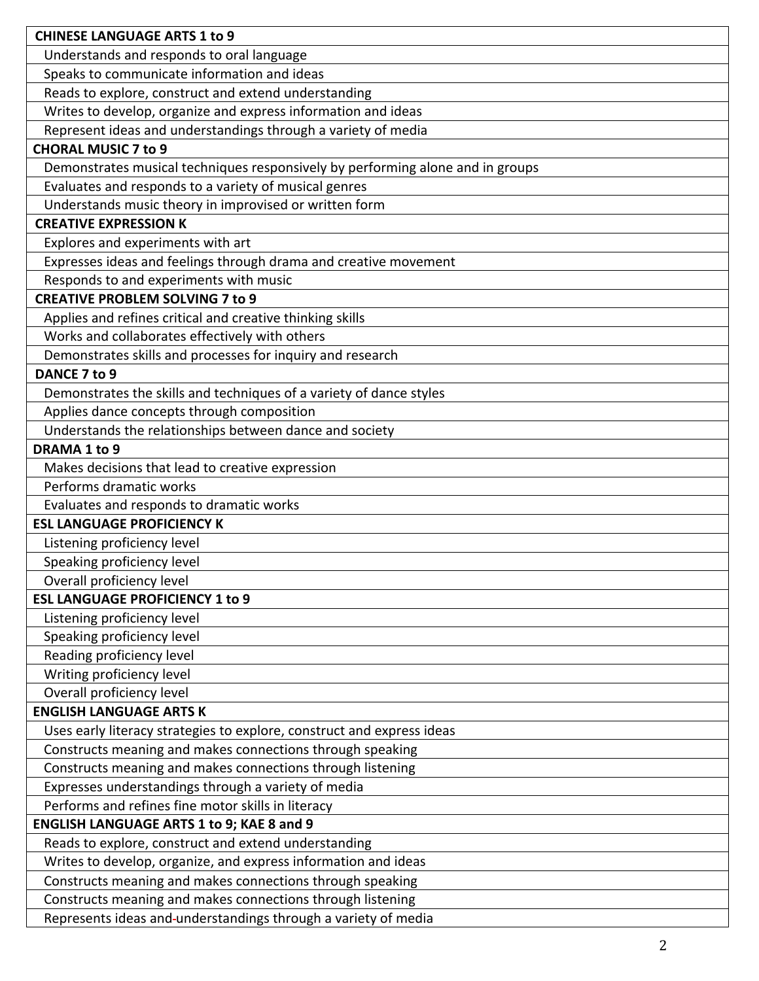| <b>CHINESE LANGUAGE ARTS 1 to 9</b>                                            |
|--------------------------------------------------------------------------------|
| Understands and responds to oral language                                      |
| Speaks to communicate information and ideas                                    |
| Reads to explore, construct and extend understanding                           |
| Writes to develop, organize and express information and ideas                  |
| Represent ideas and understandings through a variety of media                  |
| <b>CHORAL MUSIC 7 to 9</b>                                                     |
| Demonstrates musical techniques responsively by performing alone and in groups |
| Evaluates and responds to a variety of musical genres                          |
| Understands music theory in improvised or written form                         |
| <b>CREATIVE EXPRESSION K</b>                                                   |
| Explores and experiments with art                                              |
| Expresses ideas and feelings through drama and creative movement               |
| Responds to and experiments with music                                         |
| <b>CREATIVE PROBLEM SOLVING 7 to 9</b>                                         |
| Applies and refines critical and creative thinking skills                      |
| Works and collaborates effectively with others                                 |
| Demonstrates skills and processes for inquiry and research                     |
| DANCE 7 to 9                                                                   |
| Demonstrates the skills and techniques of a variety of dance styles            |
| Applies dance concepts through composition                                     |
| Understands the relationships between dance and society                        |
| DRAMA 1 to 9                                                                   |
| Makes decisions that lead to creative expression                               |
| Performs dramatic works                                                        |
| Evaluates and responds to dramatic works                                       |
| <b>ESL LANGUAGE PROFICIENCY K</b>                                              |
| Listening proficiency level                                                    |
| Speaking proficiency level                                                     |
| Overall proficiency level                                                      |
| <b>ESL LANGUAGE PROFICIENCY 1 to 9</b>                                         |
| Listening proficiency level                                                    |
| Speaking proficiency level                                                     |
| Reading proficiency level                                                      |
| Writing proficiency level                                                      |
| Overall proficiency level                                                      |
| <b>ENGLISH LANGUAGE ARTS K</b>                                                 |
| Uses early literacy strategies to explore, construct and express ideas         |
| Constructs meaning and makes connections through speaking                      |
| Constructs meaning and makes connections through listening                     |
| Expresses understandings through a variety of media                            |
| Performs and refines fine motor skills in literacy                             |
| <b>ENGLISH LANGUAGE ARTS 1 to 9; KAE 8 and 9</b>                               |
| Reads to explore, construct and extend understanding                           |
| Writes to develop, organize, and express information and ideas                 |
| Constructs meaning and makes connections through speaking                      |
| Constructs meaning and makes connections through listening                     |
| Represents ideas and-understandings through a variety of media                 |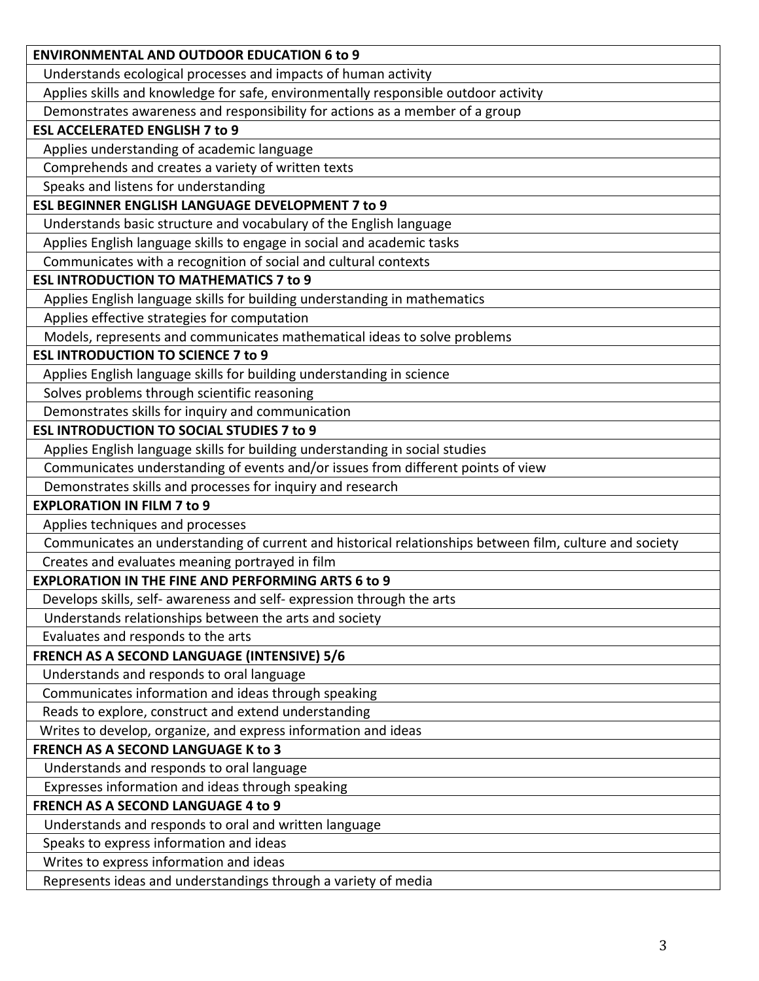| <b>ENVIRONMENTAL AND OUTDOOR EDUCATION 6 to 9</b>                                                       |
|---------------------------------------------------------------------------------------------------------|
| Understands ecological processes and impacts of human activity                                          |
| Applies skills and knowledge for safe, environmentally responsible outdoor activity                     |
| Demonstrates awareness and responsibility for actions as a member of a group                            |
| <b>ESL ACCELERATED ENGLISH 7 to 9</b>                                                                   |
| Applies understanding of academic language                                                              |
| Comprehends and creates a variety of written texts                                                      |
| Speaks and listens for understanding                                                                    |
| <b>ESL BEGINNER ENGLISH LANGUAGE DEVELOPMENT 7 to 9</b>                                                 |
| Understands basic structure and vocabulary of the English language                                      |
| Applies English language skills to engage in social and academic tasks                                  |
| Communicates with a recognition of social and cultural contexts                                         |
| <b>ESL INTRODUCTION TO MATHEMATICS 7 to 9</b>                                                           |
| Applies English language skills for building understanding in mathematics                               |
| Applies effective strategies for computation                                                            |
| Models, represents and communicates mathematical ideas to solve problems                                |
| <b>ESL INTRODUCTION TO SCIENCE 7 to 9</b>                                                               |
| Applies English language skills for building understanding in science                                   |
| Solves problems through scientific reasoning                                                            |
| Demonstrates skills for inquiry and communication                                                       |
| <b>ESL INTRODUCTION TO SOCIAL STUDIES 7 to 9</b>                                                        |
| Applies English language skills for building understanding in social studies                            |
| Communicates understanding of events and/or issues from different points of view                        |
| Demonstrates skills and processes for inquiry and research                                              |
| <b>EXPLORATION IN FILM 7 to 9</b>                                                                       |
| Applies techniques and processes                                                                        |
| Communicates an understanding of current and historical relationships between film, culture and society |
| Creates and evaluates meaning portrayed in film                                                         |
| <b>EXPLORATION IN THE FINE AND PERFORMING ARTS 6 to 9</b>                                               |
| Develops skills, self- awareness and self- expression through the arts                                  |
| Understands relationships between the arts and society                                                  |
| Evaluates and responds to the arts                                                                      |
| FRENCH AS A SECOND LANGUAGE (INTENSIVE) 5/6                                                             |
| Understands and responds to oral language                                                               |
| Communicates information and ideas through speaking                                                     |
| Reads to explore, construct and extend understanding                                                    |
| Writes to develop, organize, and express information and ideas                                          |
| <b>FRENCH AS A SECOND LANGUAGE K to 3</b>                                                               |
| Understands and responds to oral language                                                               |
| Expresses information and ideas through speaking                                                        |
| <b>FRENCH AS A SECOND LANGUAGE 4 to 9</b>                                                               |
| Understands and responds to oral and written language                                                   |
| Speaks to express information and ideas                                                                 |
| Writes to express information and ideas                                                                 |
| Represents ideas and understandings through a variety of media                                          |
|                                                                                                         |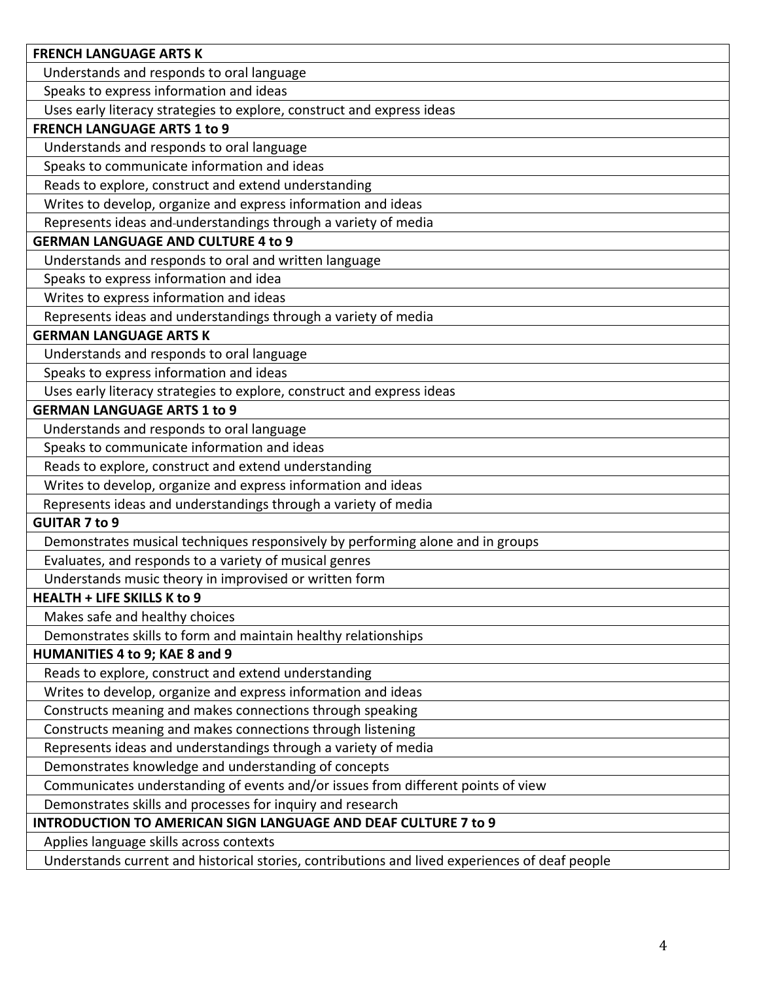| <b>FRENCH LANGUAGE ARTS K</b>                                                                                                             |
|-------------------------------------------------------------------------------------------------------------------------------------------|
| Understands and responds to oral language                                                                                                 |
| Speaks to express information and ideas                                                                                                   |
| Uses early literacy strategies to explore, construct and express ideas                                                                    |
| <b>FRENCH LANGUAGE ARTS 1 to 9</b>                                                                                                        |
| Understands and responds to oral language                                                                                                 |
| Speaks to communicate information and ideas                                                                                               |
| Reads to explore, construct and extend understanding                                                                                      |
| Writes to develop, organize and express information and ideas                                                                             |
| Represents ideas and-understandings through a variety of media                                                                            |
| <b>GERMAN LANGUAGE AND CULTURE 4 to 9</b>                                                                                                 |
| Understands and responds to oral and written language                                                                                     |
| Speaks to express information and idea                                                                                                    |
| Writes to express information and ideas                                                                                                   |
| Represents ideas and understandings through a variety of media                                                                            |
| <b>GERMAN LANGUAGE ARTS K</b>                                                                                                             |
| Understands and responds to oral language                                                                                                 |
| Speaks to express information and ideas                                                                                                   |
| Uses early literacy strategies to explore, construct and express ideas                                                                    |
| <b>GERMAN LANGUAGE ARTS 1 to 9</b>                                                                                                        |
| Understands and responds to oral language                                                                                                 |
| Speaks to communicate information and ideas                                                                                               |
| Reads to explore, construct and extend understanding                                                                                      |
| Writes to develop, organize and express information and ideas                                                                             |
| Represents ideas and understandings through a variety of media                                                                            |
| <b>GUITAR 7 to 9</b>                                                                                                                      |
| Demonstrates musical techniques responsively by performing alone and in groups                                                            |
| Evaluates, and responds to a variety of musical genres                                                                                    |
| Understands music theory in improvised or written form                                                                                    |
| <b>HEALTH + LIFE SKILLS K to 9</b>                                                                                                        |
| Makes safe and healthy choices                                                                                                            |
| Demonstrates skills to form and maintain healthy relationships                                                                            |
| HUMANITIES 4 to 9; KAE 8 and 9                                                                                                            |
| Reads to explore, construct and extend understanding                                                                                      |
| Writes to develop, organize and express information and ideas                                                                             |
| Constructs meaning and makes connections through speaking                                                                                 |
| Constructs meaning and makes connections through listening                                                                                |
| Represents ideas and understandings through a variety of media                                                                            |
| Demonstrates knowledge and understanding of concepts                                                                                      |
| Communicates understanding of events and/or issues from different points of view                                                          |
| Demonstrates skills and processes for inquiry and research                                                                                |
| <b>INTRODUCTION TO AMERICAN SIGN LANGUAGE AND DEAF CULTURE 7 to 9</b>                                                                     |
|                                                                                                                                           |
|                                                                                                                                           |
| Applies language skills across contexts<br>Understands current and historical stories, contributions and lived experiences of deaf people |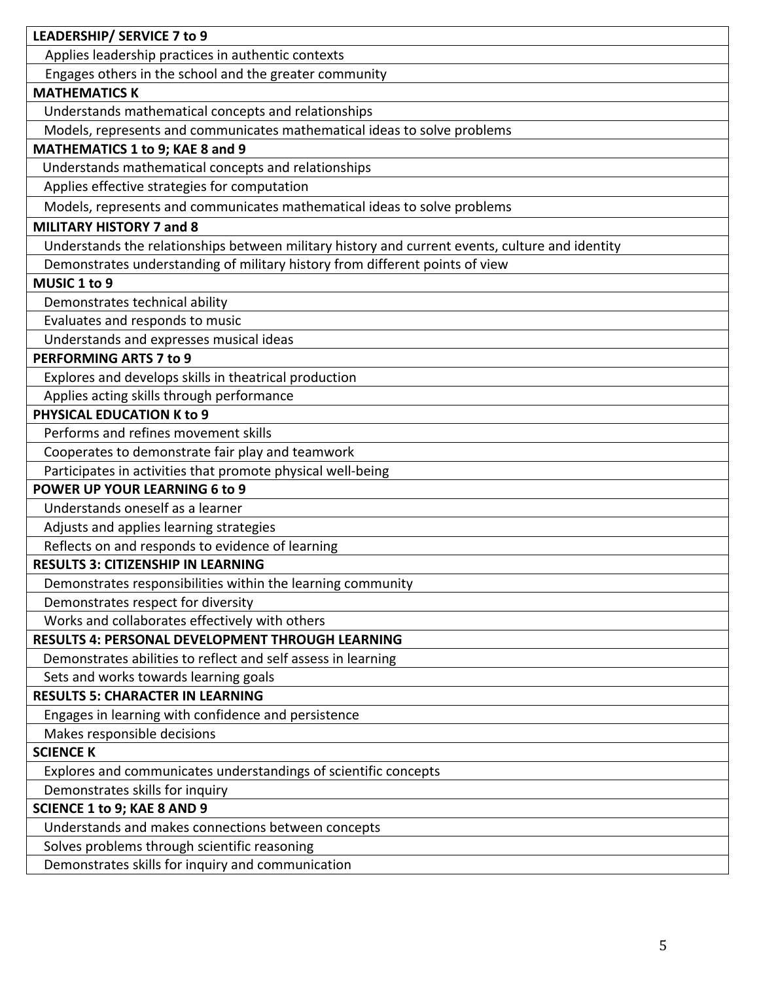| LEADERSHIP/ SERVICE 7 to 9                                                                      |
|-------------------------------------------------------------------------------------------------|
|                                                                                                 |
| Applies leadership practices in authentic contexts                                              |
| Engages others in the school and the greater community<br><b>MATHEMATICS K</b>                  |
|                                                                                                 |
| Understands mathematical concepts and relationships                                             |
| Models, represents and communicates mathematical ideas to solve problems                        |
| MATHEMATICS 1 to 9; KAE 8 and 9                                                                 |
| Understands mathematical concepts and relationships                                             |
| Applies effective strategies for computation                                                    |
| Models, represents and communicates mathematical ideas to solve problems                        |
| <b>MILITARY HISTORY 7 and 8</b>                                                                 |
| Understands the relationships between military history and current events, culture and identity |
| Demonstrates understanding of military history from different points of view                    |
| MUSIC 1 to 9                                                                                    |
| Demonstrates technical ability                                                                  |
| Evaluates and responds to music                                                                 |
| Understands and expresses musical ideas                                                         |
| PERFORMING ARTS 7 to 9                                                                          |
| Explores and develops skills in theatrical production                                           |
| Applies acting skills through performance                                                       |
| PHYSICAL EDUCATION K to 9                                                                       |
| Performs and refines movement skills                                                            |
| Cooperates to demonstrate fair play and teamwork                                                |
| Participates in activities that promote physical well-being                                     |
| POWER UP YOUR LEARNING 6 to 9                                                                   |
| Understands oneself as a learner                                                                |
| Adjusts and applies learning strategies                                                         |
| Reflects on and responds to evidence of learning                                                |
| <b>RESULTS 3: CITIZENSHIP IN LEARNING</b>                                                       |
| Demonstrates responsibilities within the learning community                                     |
| Demonstrates respect for diversity                                                              |
| Works and collaborates effectively with others                                                  |
| RESULTS 4: PERSONAL DEVELOPMENT THROUGH LEARNING                                                |
| Demonstrates abilities to reflect and self assess in learning                                   |
| Sets and works towards learning goals                                                           |
| <b>RESULTS 5: CHARACTER IN LEARNING</b>                                                         |
| Engages in learning with confidence and persistence                                             |
| Makes responsible decisions                                                                     |
| <b>SCIENCE K</b>                                                                                |
| Explores and communicates understandings of scientific concepts                                 |
| Demonstrates skills for inquiry                                                                 |
| <b>SCIENCE 1 to 9; KAE 8 AND 9</b>                                                              |
| Understands and makes connections between concepts                                              |
| Solves problems through scientific reasoning                                                    |
| Demonstrates skills for inquiry and communication                                               |